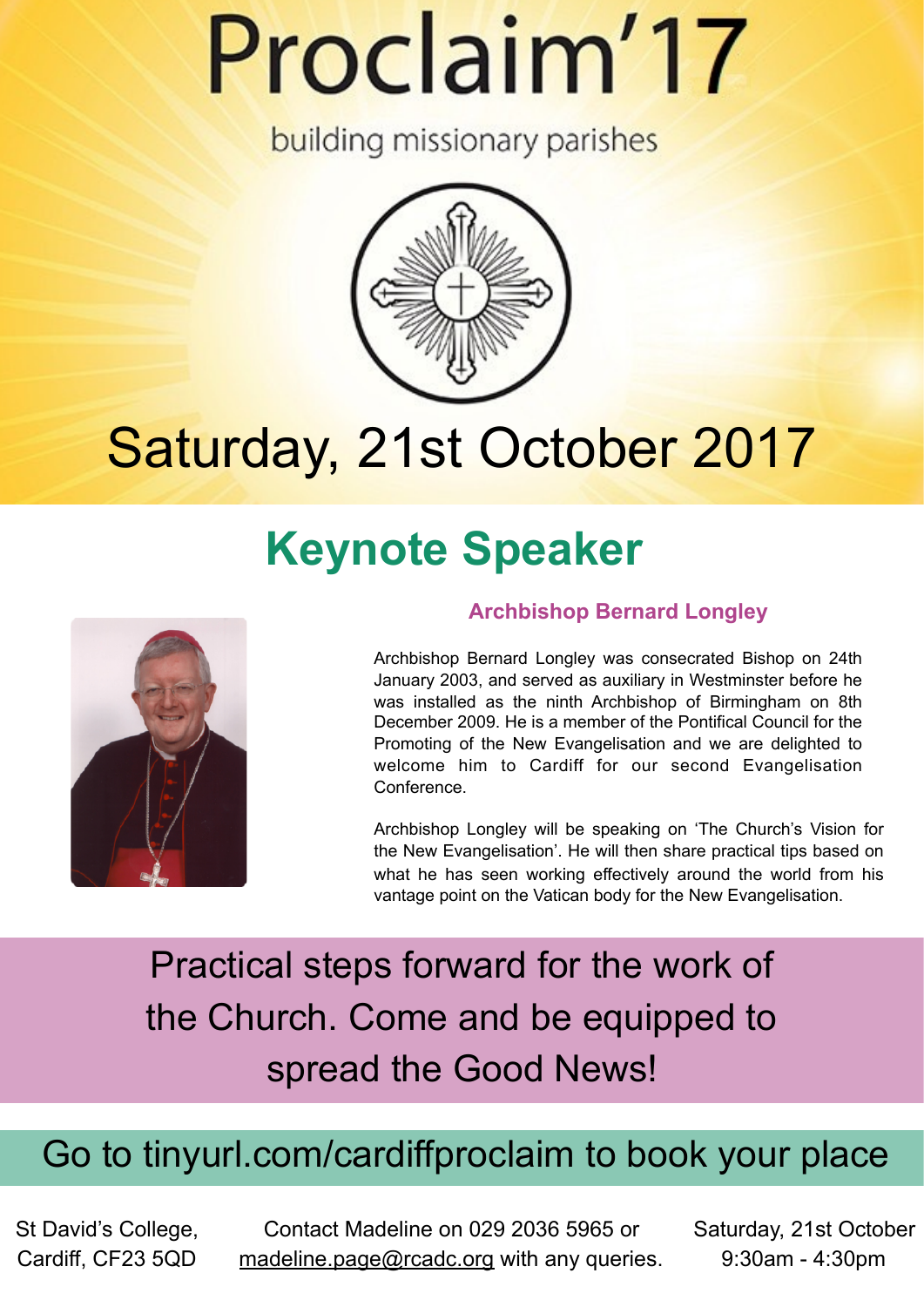# Proclaim'17

**building missionary parishes** 



# Saturday, 21st October 2017

# **Keynote Speaker**



### **Archbishop Bernard Longley**

Archbishop Bernard Longley was consecrated Bishop on 24th January 2003, and served as auxiliary in Westminster before he was installed as the ninth Archbishop of Birmingham on 8th December 2009. He is a member of the Pontifical Council for the Promoting of the New Evangelisation and we are delighted to welcome him to Cardiff for our second Evangelisation Conference.

Archbishop Longley will be speaking on 'The Church's Vision for the New Evangelisation'. He will then share practical tips based on what he has seen working effectively around the world from his vantage point on the Vatican body for the New Evangelisation.

Practical steps forward for the work of the Church. Come and be equipped to spread the Good News!

# Go to tinyurl.com/cardiffproclaim to book your place

St David's College, Cardiff, CF23 5QD

Contact Madeline on 029 2036 5965 or [madeline.page@rcadc.org](mailto:madeline.page@rcadc.org) with any queries.

Saturday, 21st October 9:30am - 4:30pm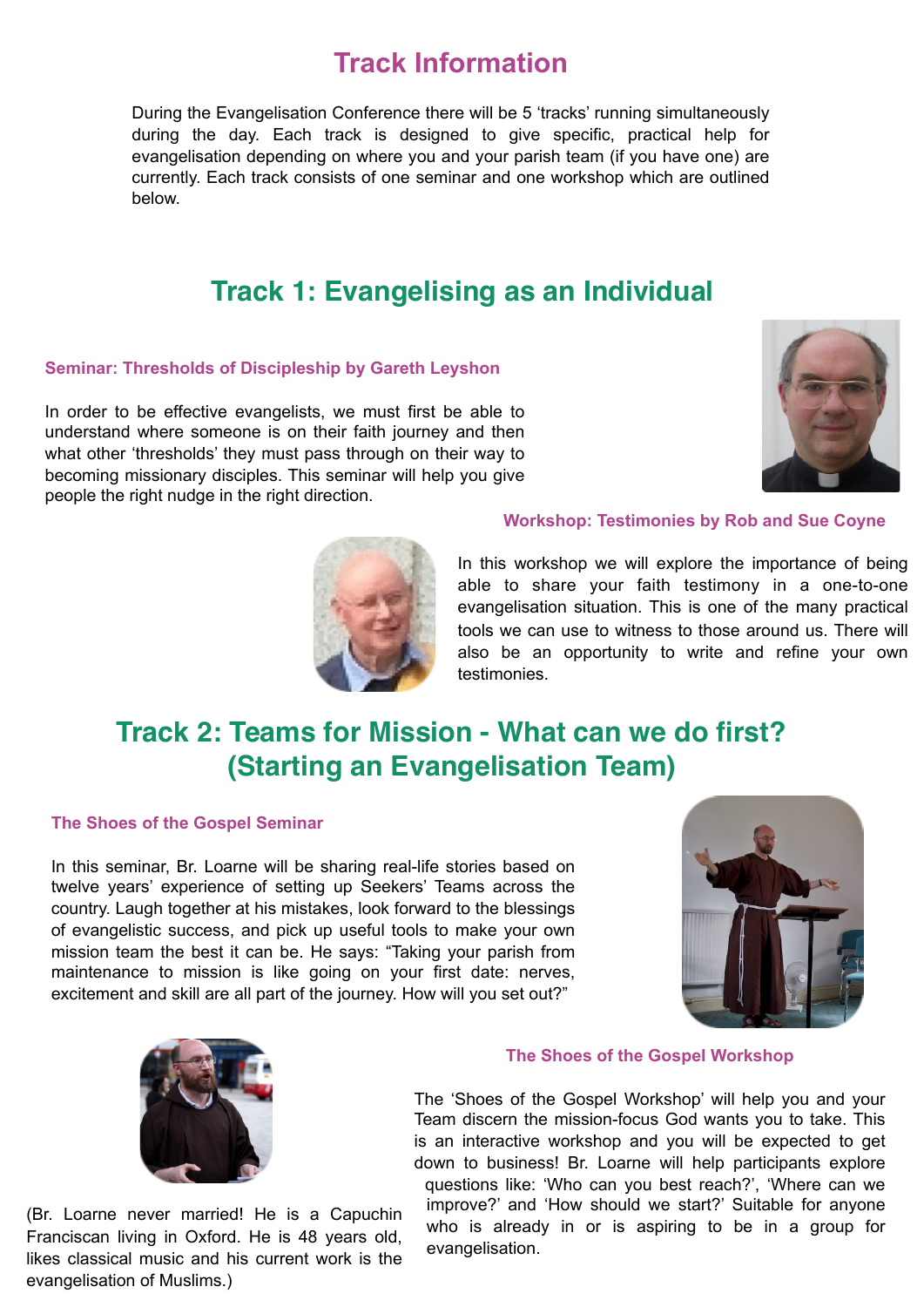# **Track Information**

During the Evangelisation Conference there will be 5 'tracks' running simultaneously during the day. Each track is designed to give specific, practical help for evangelisation depending on where you and your parish team (if you have one) are currently. Each track consists of one seminar and one workshop which are outlined below.

# **Track 1: Evangelising as an Individual**

#### **Seminar: Thresholds of Discipleship by Gareth Leyshon**

In order to be effective evangelists, we must first be able to understand where someone is on their faith journey and then what other 'thresholds' they must pass through on their way to becoming missionary disciples. This seminar will help you give people the right nudge in the right direction.





#### **Workshop: Testimonies by Rob and Sue Coyne**

In this workshop we will explore the importance of being able to share your faith testimony in a one-to-one evangelisation situation. This is one of the many practical tools we can use to witness to those around us. There will also be an opportunity to write and refine your own testimonies.

# **Track 2: Teams for Mission - What can we do first? (Starting an Evangelisation Team)**

#### **The Shoes of the Gospel Seminar**

In this seminar, Br. Loarne will be sharing real-life stories based on twelve years' experience of setting up Seekers' Teams across the country. Laugh together at his mistakes, look forward to the blessings of evangelistic success, and pick up useful tools to make your own mission team the best it can be. He says: "Taking your parish from maintenance to mission is like going on your first date: nerves, excitement and skill are all part of the journey. How will you set out?"





(Br. Loarne never married! He is a Capuchin Franciscan living in Oxford. He is 48 years old, likes classical music and his current work is the evangelisation of Muslims.)

#### **The Shoes of the Gospel Workshop**

The 'Shoes of the Gospel Workshop' will help you and your Team discern the mission-focus God wants you to take. This is an interactive workshop and you will be expected to get down to business! Br. Loarne will help participants explore questions like: 'Who can you best reach?', 'Where can we improve?' and 'How should we start?' Suitable for anyone who is already in or is aspiring to be in a group for evangelisation.